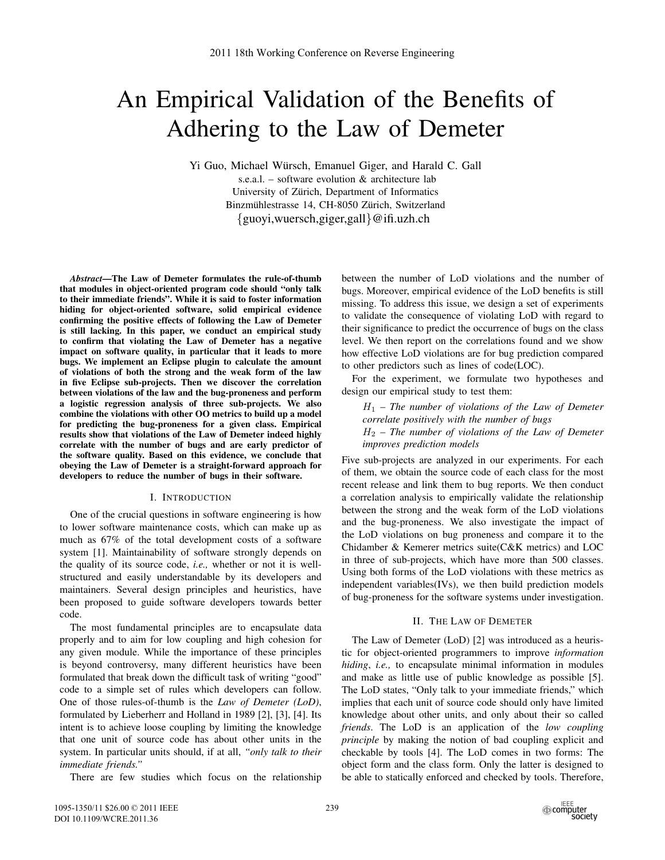# An Empirical Validation of the Benefits of Adhering to the Law of Demeter

Yi Guo, Michael Würsch, Emanuel Giger, and Harald C. Gall s.e.a.l. – software evolution & architecture lab University of Zürich, Department of Informatics Binzmühlestrasse 14, CH-8050 Zürich, Switzerland {guoyi,wuersch,giger,gall}@ifi.uzh.ch

*Abstract*—The Law of Demeter formulates the rule-of-thumb that modules in object-oriented program code should "only talk to their immediate friends". While it is said to foster information hiding for object-oriented software, solid empirical evidence confirming the positive effects of following the Law of Demeter is still lacking. In this paper, we conduct an empirical study to confirm that violating the Law of Demeter has a negative impact on software quality, in particular that it leads to more bugs. We implement an Eclipse plugin to calculate the amount of violations of both the strong and the weak form of the law in five Eclipse sub-projects. Then we discover the correlation between violations of the law and the bug-proneness and perform a logistic regression analysis of three sub-projects. We also combine the violations with other OO metrics to build up a model for predicting the bug-proneness for a given class. Empirical results show that violations of the Law of Demeter indeed highly correlate with the number of bugs and are early predictor of the software quality. Based on this evidence, we conclude that obeying the Law of Demeter is a straight-forward approach for developers to reduce the number of bugs in their software.

#### I. INTRODUCTION

One of the crucial questions in software engineering is how to lower software maintenance costs, which can make up as much as 67% of the total development costs of a software system [1]. Maintainability of software strongly depends on the quality of its source code, *i.e.,* whether or not it is wellstructured and easily understandable by its developers and maintainers. Several design principles and heuristics, have been proposed to guide software developers towards better code.

The most fundamental principles are to encapsulate data properly and to aim for low coupling and high cohesion for any given module. While the importance of these principles is beyond controversy, many different heuristics have been formulated that break down the difficult task of writing "good" code to a simple set of rules which developers can follow. One of those rules-of-thumb is the *Law of Demeter (LoD)*, formulated by Lieberherr and Holland in 1989 [2], [3], [4]. Its intent is to achieve loose coupling by limiting the knowledge that one unit of source code has about other units in the system. In particular units should, if at all, *"only talk to their immediate friends."*

There are few studies which focus on the relationship

between the number of LoD violations and the number of bugs. Moreover, empirical evidence of the LoD benefits is still missing. To address this issue, we design a set of experiments to validate the consequence of violating LoD with regard to their significance to predict the occurrence of bugs on the class level. We then report on the correlations found and we show how effective LoD violations are for bug prediction compared to other predictors such as lines of code(LOC).

For the experiment, we formulate two hypotheses and design our empirical study to test them:

H<sup>1</sup> – *The number of violations of the Law of Demeter correlate positively with the number of bugs* H<sup>2</sup> – *The number of violations of the Law of Demeter improves prediction models*

Five sub-projects are analyzed in our experiments. For each of them, we obtain the source code of each class for the most recent release and link them to bug reports. We then conduct a correlation analysis to empirically validate the relationship between the strong and the weak form of the LoD violations and the bug-proneness. We also investigate the impact of the LoD violations on bug proneness and compare it to the Chidamber & Kemerer metrics suite(C&K metrics) and LOC in three of sub-projects, which have more than 500 classes. Using both forms of the LoD violations with these metrics as independent variables(IVs), we then build prediction models of bug-proneness for the software systems under investigation.

#### II. THE LAW OF DEMETER

The Law of Demeter (LoD) [2] was introduced as a heuristic for object-oriented programmers to improve *information hiding*, *i.e.,* to encapsulate minimal information in modules and make as little use of public knowledge as possible [5]. The LoD states, "Only talk to your immediate friends," which implies that each unit of source code should only have limited knowledge about other units, and only about their so called *friends*. The LoD is an application of the *low coupling principle* by making the notion of bad coupling explicit and checkable by tools [4]. The LoD comes in two forms: The object form and the class form. Only the latter is designed to be able to statically enforced and checked by tools. Therefore,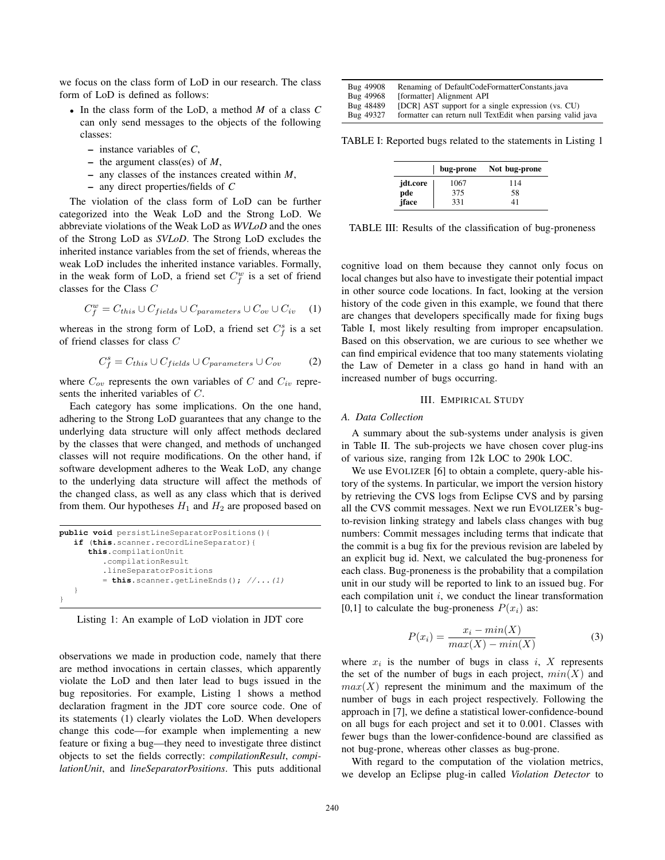we focus on the class form of LoD in our research. The class form of LoD is defined as follows:

- In the class form of the LoD, a method *M* of a class *C* can only send messages to the objects of the following classes:
	- instance variables of *C*,
	- the argument class(es) of *M*,
	- any classes of the instances created within *M*,
	- any direct properties/fields of *C*

The violation of the class form of LoD can be further categorized into the Weak LoD and the Strong LoD. We abbreviate violations of the Weak LoD as *WVLoD* and the ones of the Strong LoD as *SVLoD*. The Strong LoD excludes the inherited instance variables from the set of friends, whereas the weak LoD includes the inherited instance variables. Formally, in the weak form of LoD, a friend set  $C_f^w$  is a set of friend classes for the Class C

$$
C_f^w = C_{this} \cup C_{fields} \cup C_{parameters} \cup C_{ov} \cup C_{iv} \quad (1)
$$

whereas in the strong form of LoD, a friend set  $C_f^s$  is a set of friend classes for class C

$$
C_f^s = C_{this} \cup C_{fields} \cup C_{parameters} \cup C_{ov}
$$
 (2)

where  $C_{ov}$  represents the own variables of  $C$  and  $C_{iv}$  represents the inherited variables of C.

Each category has some implications. On the one hand, adhering to the Strong LoD guarantees that any change to the underlying data structure will only affect methods declared by the classes that were changed, and methods of unchanged classes will not require modifications. On the other hand, if software development adheres to the Weak LoD, any change to the underlying data structure will affect the methods of the changed class, as well as any class which that is derived from them. Our hypotheses  $H_1$  and  $H_2$  are proposed based on

```
public void persistLineSeparatorPositions(){
   if (this.scanner.recordLineSeparator){
      this.compilationUnit
         .compilationResult
         .lineSeparatorPositions
         = this.scanner.getLineEnds(); //...(1)
   }
}
```
Listing 1: An example of LoD violation in JDT core

observations we made in production code, namely that there are method invocations in certain classes, which apparently violate the LoD and then later lead to bugs issued in the bug repositories. For example, Listing 1 shows a method declaration fragment in the JDT core source code. One of its statements (1) clearly violates the LoD. When developers change this code—for example when implementing a new feature or fixing a bug—they need to investigate three distinct objects to set the fields correctly: *compilationResult*, *compilationUnit*, and *lineSeparatorPositions*. This puts additional

| Bug 49908 | Renaming of DefaultCodeFormatterConstants.java             |
|-----------|------------------------------------------------------------|
| Bug 49968 | [formatter] Alignment API                                  |
| Bug 48489 | [DCR] AST support for a single expression (vs. CU)         |
| Bug 49327 | formatter can return null TextEdit when parsing valid java |

TABLE I: Reported bugs related to the statements in Listing 1

|          | bug-prone | Not bug-prone |
|----------|-----------|---------------|
| jdt.core | 1067      | 114           |
| pde      | 375       | 58            |
| iface    | 331       | 41            |

TABLE III: Results of the classification of bug-proneness

cognitive load on them because they cannot only focus on local changes but also have to investigate their potential impact in other source code locations. In fact, looking at the version history of the code given in this example, we found that there are changes that developers specifically made for fixing bugs Table I, most likely resulting from improper encapsulation. Based on this observation, we are curious to see whether we can find empirical evidence that too many statements violating the Law of Demeter in a class go hand in hand with an increased number of bugs occurring.

# III. EMPIRICAL STUDY

# *A. Data Collection*

 $\overline{a}$ 

A summary about the sub-systems under analysis is given in Table II. The sub-projects we have chosen cover plug-ins of various size, ranging from 12k LOC to 290k LOC.

We use EVOLIZER [6] to obtain a complete, query-able history of the systems. In particular, we import the version history by retrieving the CVS logs from Eclipse CVS and by parsing all the CVS commit messages. Next we run EVOLIZER's bugto-revision linking strategy and labels class changes with bug numbers: Commit messages including terms that indicate that the commit is a bug fix for the previous revision are labeled by an explicit bug id. Next, we calculated the bug-proneness for each class. Bug-proneness is the probability that a compilation unit in our study will be reported to link to an issued bug. For each compilation unit  $i$ , we conduct the linear transformation  $[0,1]$  to calculate the bug-proneness  $P(x_i)$  as:

$$
P(x_i) = \frac{x_i - min(X)}{max(X) - min(X)}
$$
 (3)

where  $x_i$  is the number of bugs in class  $i$ ,  $X$  represents the set of the number of bugs in each project,  $min(X)$  and  $max(X)$  represent the minimum and the maximum of the number of bugs in each project respectively. Following the approach in [7], we define a statistical lower-confidence-bound on all bugs for each project and set it to 0.001. Classes with fewer bugs than the lower-confidence-bound are classified as not bug-prone, whereas other classes as bug-prone.

With regard to the computation of the violation metrics, we develop an Eclipse plug-in called *Violation Detector* to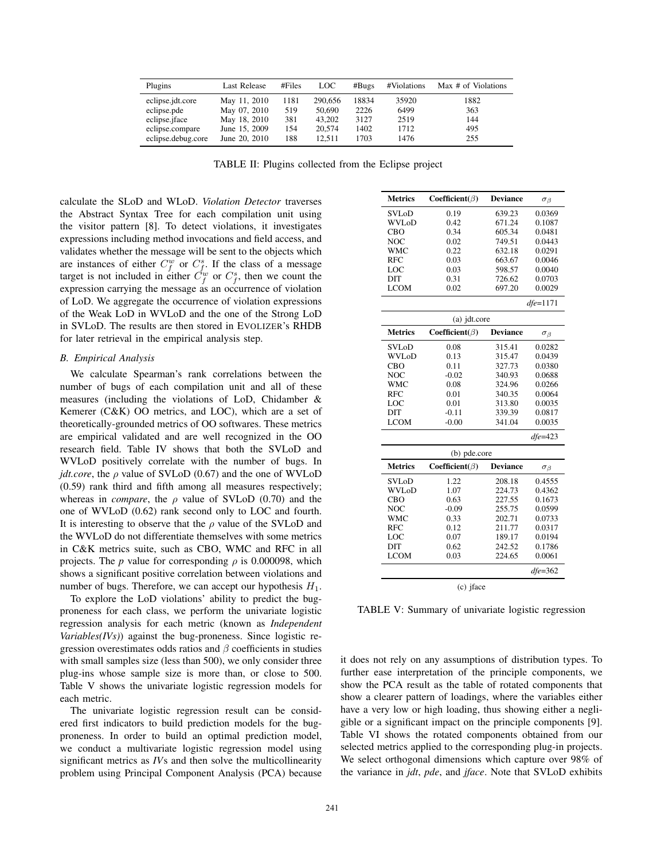| Plugins            | Last Release  | #Files | LOC.    | #Bugs | #Violations | Max # of Violations |
|--------------------|---------------|--------|---------|-------|-------------|---------------------|
| eclipse.jdt.core   | May 11, 2010  | 1181   | 290,656 | 18834 | 35920       | 1882                |
| eclipse.pde        | May 07, 2010  | 519    | 50,690  | 2226  | 6499        | 363                 |
| eclipse.jface      | May 18, 2010  | 381    | 43.202  | 3127  | 2519        | 144                 |
| eclipse.compare    | June 15, 2009 | 154    | 20,574  | 1402  | 1712        | 495                 |
| eclipse.debug.core | June 20, 2010 | 188    | 12.511  | 1703  | 1476        | 255                 |

TABLE II: Plugins collected from the Eclipse project

calculate the SLoD and WLoD. *Violation Detector* traverses the Abstract Syntax Tree for each compilation unit using the visitor pattern [8]. To detect violations, it investigates expressions including method invocations and field access, and validates whether the message will be sent to the objects which are instances of either  $C_f^w$  or  $C_f^s$ . If the class of a message target is not included in either  $C_f^w$  or  $C_f^s$ , then we count the expression carrying the message as an occurrence of violation of LoD. We aggregate the occurrence of violation expressions of the Weak LoD in WVLoD and the one of the Strong LoD in SVLoD. The results are then stored in EVOLIZER's RHDB for later retrieval in the empirical analysis step.

### *B. Empirical Analysis*

We calculate Spearman's rank correlations between the number of bugs of each compilation unit and all of these measures (including the violations of LoD, Chidamber & Kemerer (C&K) OO metrics, and LOC), which are a set of theoretically-grounded metrics of OO softwares. These metrics are empirical validated and are well recognized in the OO research field. Table IV shows that both the SVLoD and WVLoD positively correlate with the number of bugs. In  $jdt.core$ , the  $\rho$  value of SVLoD (0.67) and the one of WVLoD (0.59) rank third and fifth among all measures respectively; whereas in *compare*, the  $\rho$  value of SVLoD (0.70) and the one of WVLoD (0.62) rank second only to LOC and fourth. It is interesting to observe that the  $\rho$  value of the SVLoD and the WVLoD do not differentiate themselves with some metrics in C&K metrics suite, such as CBO, WMC and RFC in all projects. The *p* value for corresponding  $\rho$  is 0.000098, which shows a significant positive correlation between violations and number of bugs. Therefore, we can accept our hypothesis  $H_1$ .

To explore the LoD violations' ability to predict the bugproneness for each class, we perform the univariate logistic regression analysis for each metric (known as *Independent Variables(IVs)*) against the bug-proneness. Since logistic regression overestimates odds ratios and  $\beta$  coefficients in studies with small samples size (less than 500), we only consider three plug-ins whose sample size is more than, or close to 500. Table V shows the univariate logistic regression models for each metric.

The univariate logistic regression result can be considered first indicators to build prediction models for the bugproneness. In order to build an optimal prediction model, we conduct a multivariate logistic regression model using significant metrics as *IV*s and then solve the multicollinearity problem using Principal Component Analysis (PCA) because

| <b>Metrics</b> | $Coefficient(\beta)$   | <b>Deviance</b> | $\sigma_{\beta}$ |
|----------------|------------------------|-----------------|------------------|
| <b>SVLoD</b>   | 0.19                   | 639.23          | 0.0369           |
| <b>WVLoD</b>   | 0.42                   | 671.24          | 0.1087           |
| CBO            | 0.34                   | 605.34          | 0.0481           |
| <b>NOC</b>     | 0.02                   | 749.51          | 0.0443           |
| <b>WMC</b>     | 0.22                   | 632.18          | 0.0291           |
| <b>RFC</b>     | 0.03                   | 663.67          | 0.0046           |
| LOC            | 0.03                   | 598.57          | 0.0040           |
| <b>DIT</b>     | 0.31                   | 726.62          | 0.0703           |
| <b>LCOM</b>    | 0.02                   | 697.20          | 0.0029           |
|                |                        |                 | $dfe = 1171$     |
|                | (a) jdt.core           |                 |                  |
| <b>Metrics</b> | Coefficient( $\beta$ ) | <b>Deviance</b> | $\sigma_{\beta}$ |
| <b>SVLoD</b>   | 0.08                   | 315.41          | 0.0282           |
| WVLoD          | 0.13                   | 315.47          | 0.0439           |
| CBO            | 0.11                   | 327.73          | 0.0380           |
| <b>NOC</b>     | $-0.02$                | 340.93          | 0.0688           |
| <b>WMC</b>     | 0.08                   | 324.96          | 0.0266           |
| <b>RFC</b>     | 0.01                   | 340.35          | 0.0064           |
| LOC            | 0.01                   | 313.80          | 0.0035           |
| <b>DIT</b>     | $-0.11$                | 339.39          | 0.0817           |
| <b>LCOM</b>    | $-0.00$                | 341.04          | 0.0035           |
|                |                        |                 | $dfe = 423$      |
|                | (b) pde.core           |                 |                  |
| <b>Metrics</b> | Coefficient( $\beta$ ) | <b>Deviance</b> | $\sigma_{\beta}$ |
| <b>SVLoD</b>   | 1.22                   | 208.18          | 0.4555           |
| WVLoD          | 1.07                   | 224.73          | 0.4362           |
| CBO            | 0.63                   | 227.55          | 0.1673           |
| <b>NOC</b>     | $-0.09$                | 255.75          | 0.0599           |
| <b>WMC</b>     | 0.33                   | 202.71          | 0.0733           |
| <b>RFC</b>     | 0.12                   | 211.77          | 0.0317           |
| LOC            | 0.07                   | 189.17          | 0.0194           |
| <b>DIT</b>     | 0.62                   | 242.52          | 0.1786           |
| <b>LCOM</b>    | 0.03                   | 224.65          | 0.0061           |
|                |                        |                 | $dfe = 362$      |
|                |                        |                 |                  |

(c) jface

TABLE V: Summary of univariate logistic regression

it does not rely on any assumptions of distribution types. To further ease interpretation of the principle components, we show the PCA result as the table of rotated components that show a clearer pattern of loadings, where the variables either have a very low or high loading, thus showing either a negligible or a significant impact on the principle components [9]. Table VI shows the rotated components obtained from our selected metrics applied to the corresponding plug-in projects. We select orthogonal dimensions which capture over 98% of the variance in *jdt*, *pde*, and *jface*. Note that SVLoD exhibits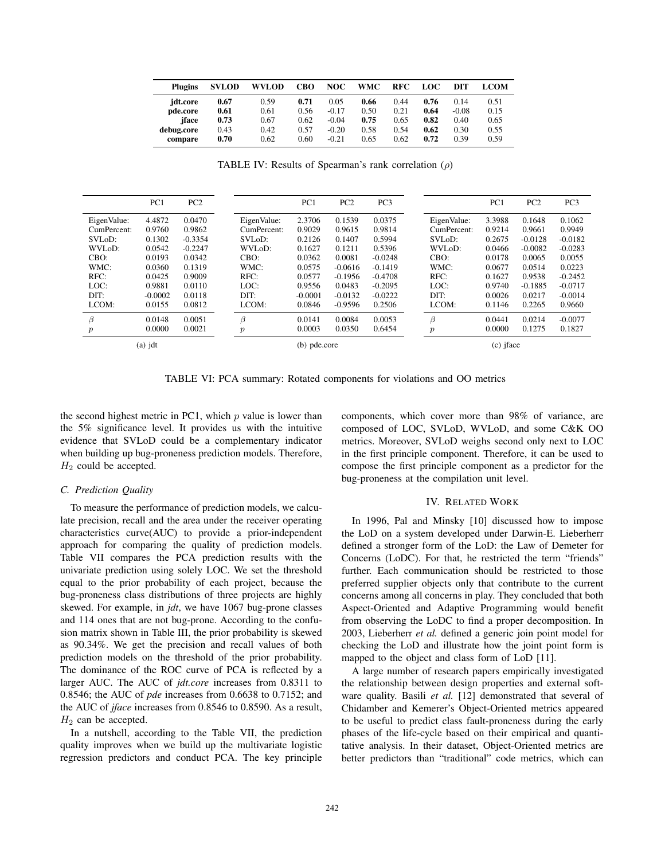| <b>Plugins</b> | <b>SVLOD</b> | WVLOD | <b>CBO</b> | NOC     | <b>WMC</b> | RFC  | LOC. | DIT     | <b>LCOM</b> |
|----------------|--------------|-------|------------|---------|------------|------|------|---------|-------------|
| jdt.core       | 0.67         | 0.59  | 0.71       | 0.05    | 0.66       | 0.44 | 0.76 | 0.14    | 0.51        |
| pde.core       | 0.61         | 0.61  | 0.56       | $-0.17$ | 0.50       | 0.21 | 0.64 | $-0.08$ | 0.15        |
| iface          | 0.73         | 0.67  | 0.62       | $-0.04$ | 0.75       | 0.65 | 0.82 | 0.40    | 0.65        |
| debug.core     | 0.43         | 0.42  | 0.57       | $-0.20$ | 0.58       | 0.54 | 0.62 | 0.30    | 0.55        |
| compare        | 0.70         | 0.62  | 0.60       | $-0.21$ | 0.65       | 0.62 | 0.72 | 0.39    | 0.59        |

TABLE IV: Results of Spearman's rank correlation  $(\rho)$ 

|                  | PC1       | PC <sub>2</sub> |                  | PC1          | PC <sub>2</sub> | PC <sub>3</sub> |                  |             | PC1       | PC <sub>2</sub> | PC <sub>3</sub> |
|------------------|-----------|-----------------|------------------|--------------|-----------------|-----------------|------------------|-------------|-----------|-----------------|-----------------|
| EigenValue:      | 4.4872    | 0.0470          | EigenValue:      | 2.3706       | 0.1539          | 0.0375          |                  | EigenValue: | 3.3988    | 0.1648          | 0.1062          |
| CumPercent:      | 0.9760    | 0.9862          | CumPercent:      | 0.9029       | 0.9615          | 0.9814          |                  | CumPercent: | 0.9214    | 0.9661          | 0.9949          |
| SVLoD:           | 0.1302    | $-0.3354$       | SVLoD:           | 0.2126       | 0.1407          | 0.5994          | SVLoD:           |             | 0.2675    | $-0.0128$       | $-0.0182$       |
| WVLoD:           | 0.0542    | $-0.2247$       | WVLoD:           | 0.1627       | 0.1211          | 0.5396          | WVLoD:           |             | 0.0466    | $-0.0082$       | $-0.0283$       |
| CBO:             | 0.0193    | 0.0342          | CBO:             | 0.0362       | 0.0081          | $-0.0248$       | CBO:             |             | 0.0178    | 0.0065          | 0.0055          |
| WMC:             | 0.0360    | 0.1319          | WMC:             | 0.0575       | $-0.0616$       | $-0.1419$       | WMC:             |             | 0.0677    | 0.0514          | 0.0223          |
| RFC:             | 0.0425    | 0.9009          | RFC:             | 0.0577       | $-0.1956$       | $-0.4708$       | RFC:             |             | 0.1627    | 0.9538          | $-0.2452$       |
| LOC:             | 0.9881    | 0.0110          | LOC:             | 0.9556       | 0.0483          | $-0.2095$       | LOC:             |             | 0.9740    | $-0.1885$       | $-0.0717$       |
| DIT:             | $-0.0002$ | 0.0118          | DIT:             | $-0.0001$    | $-0.0132$       | $-0.0222$       | DIT:             |             | 0.0026    | 0.0217          | $-0.0014$       |
| LCOM:            | 0.0155    | 0.0812          | LCOM:            | 0.0846       | $-0.9596$       | 0.2506          | LCOM:            |             | 0.1146    | 0.2265          | 0.9660          |
| $\beta$          | 0.0148    | 0.0051          | Β                | 0.0141       | 0.0084          | 0.0053          | $\beta$          |             | 0.0441    | 0.0214          | $-0.0077$       |
| $\boldsymbol{p}$ | 0.0000    | 0.0021          | $\boldsymbol{p}$ | 0.0003       | 0.0350          | 0.6454          | $\boldsymbol{v}$ |             | 0.0000    | 0.1275          | 0.1827          |
| $(a)$ jdt        |           |                 |                  | (b) pde.core |                 |                 |                  |             | (c) jface |                 |                 |

TABLE VI: PCA summary: Rotated components for violations and OO metrics

the second highest metric in PC1, which  $p$  value is lower than the 5% significance level. It provides us with the intuitive evidence that SVLoD could be a complementary indicator when building up bug-proneness prediction models. Therefore,  $H_2$  could be accepted.

# *C. Prediction Quality*

To measure the performance of prediction models, we calculate precision, recall and the area under the receiver operating characteristics curve(AUC) to provide a prior-independent approach for comparing the quality of prediction models. Table VII compares the PCA prediction results with the univariate prediction using solely LOC. We set the threshold equal to the prior probability of each project, because the bug-proneness class distributions of three projects are highly skewed. For example, in *jdt*, we have 1067 bug-prone classes and 114 ones that are not bug-prone. According to the confusion matrix shown in Table III, the prior probability is skewed as 90.34%. We get the precision and recall values of both prediction models on the threshold of the prior probability. The dominance of the ROC curve of PCA is reflected by a larger AUC. The AUC of *jdt.core* increases from 0.8311 to 0.8546; the AUC of *pde* increases from 0.6638 to 0.7152; and the AUC of *jface* increases from 0.8546 to 0.8590. As a result,  $H_2$  can be accepted.

In a nutshell, according to the Table VII, the prediction quality improves when we build up the multivariate logistic regression predictors and conduct PCA. The key principle components, which cover more than 98% of variance, are composed of LOC, SVLoD, WVLoD, and some C&K OO metrics. Moreover, SVLoD weighs second only next to LOC in the first principle component. Therefore, it can be used to compose the first principle component as a predictor for the bug-proneness at the compilation unit level.

#### IV. RELATED WORK

In 1996, Pal and Minsky [10] discussed how to impose the LoD on a system developed under Darwin-E. Lieberherr defined a stronger form of the LoD: the Law of Demeter for Concerns (LoDC). For that, he restricted the term "friends" further. Each communication should be restricted to those preferred supplier objects only that contribute to the current concerns among all concerns in play. They concluded that both Aspect-Oriented and Adaptive Programming would benefit from observing the LoDC to find a proper decomposition. In 2003, Lieberherr *et al.* defined a generic join point model for checking the LoD and illustrate how the joint point form is mapped to the object and class form of LoD [11].

A large number of research papers empirically investigated the relationship between design properties and external software quality. Basili *et al.* [12] demonstrated that several of Chidamber and Kemerer's Object-Oriented metrics appeared to be useful to predict class fault-proneness during the early phases of the life-cycle based on their empirical and quantitative analysis. In their dataset, Object-Oriented metrics are better predictors than "traditional" code metrics, which can